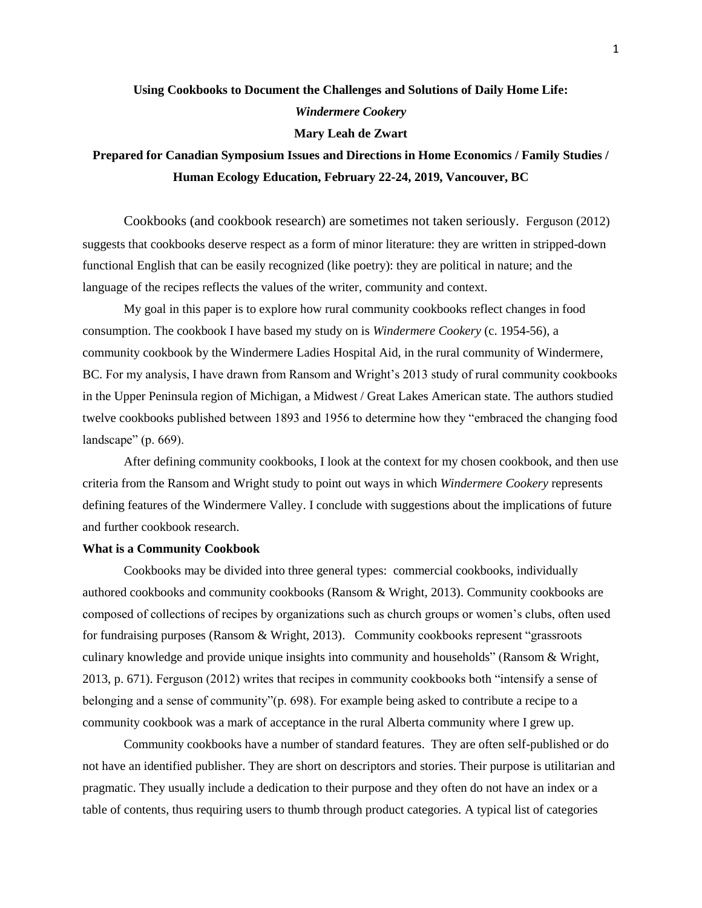## **Using Cookbooks to Document the Challenges and Solutions of Daily Home Life:**

*Windermere Cookery*

**Mary Leah de Zwart**

# **Prepared for Canadian Symposium Issues and Directions in Home Economics / Family Studies / Human Ecology Education, February 22-24, 2019, Vancouver, BC**

Cookbooks (and cookbook research) are sometimes not taken seriously. Ferguson (2012) suggests that cookbooks deserve respect as a form of minor literature: they are written in stripped-down functional English that can be easily recognized (like poetry): they are political in nature; and the language of the recipes reflects the values of the writer, community and context.

My goal in this paper is to explore how rural community cookbooks reflect changes in food consumption. The cookbook I have based my study on is *Windermere Cookery* (c. 1954-56), a community cookbook by the Windermere Ladies Hospital Aid, in the rural community of Windermere, BC. For my analysis, I have drawn from Ransom and Wright's 2013 study of rural community cookbooks in the Upper Peninsula region of Michigan, a Midwest / Great Lakes American state. The authors studied twelve cookbooks published between 1893 and 1956 to determine how they "embraced the changing food landscape" (p. 669).

After defining community cookbooks, I look at the context for my chosen cookbook, and then use criteria from the Ransom and Wright study to point out ways in which *Windermere Cookery* represents defining features of the Windermere Valley. I conclude with suggestions about the implications of future and further cookbook research.

## **What is a Community Cookbook**

Cookbooks may be divided into three general types: commercial cookbooks, individually authored cookbooks and community cookbooks (Ransom & Wright, 2013). Community cookbooks are composed of collections of recipes by organizations such as church groups or women's clubs, often used for fundraising purposes (Ransom & Wright, 2013). Community cookbooks represent "grassroots culinary knowledge and provide unique insights into community and households" (Ransom & Wright, 2013, p. 671). Ferguson (2012) writes that recipes in community cookbooks both "intensify a sense of belonging and a sense of community"(p. 698). For example being asked to contribute a recipe to a community cookbook was a mark of acceptance in the rural Alberta community where I grew up.

Community cookbooks have a number of standard features. They are often self-published or do not have an identified publisher. They are short on descriptors and stories. Their purpose is utilitarian and pragmatic. They usually include a dedication to their purpose and they often do not have an index or a table of contents, thus requiring users to thumb through product categories. A typical list of categories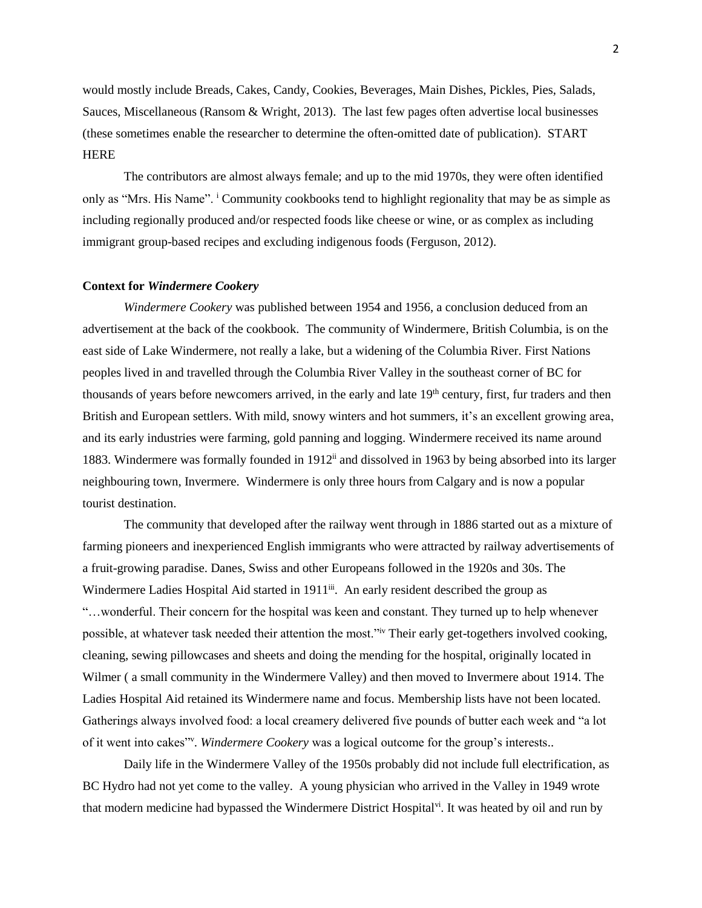would mostly include Breads, Cakes, Candy, Cookies, Beverages, Main Dishes, Pickles, Pies, Salads, Sauces, Miscellaneous (Ransom & Wright, 2013). The last few pages often advertise local businesses (these sometimes enable the researcher to determine the often-omitted date of publication). START **HERE** 

The contributors are almost always female; and up to the mid 1970s, they were often identified only as "Mrs. His Name". <sup>i</sup> Community cookbooks tend to highlight regionality that may be as simple as including regionally produced and/or respected foods like cheese or wine, or as complex as including immigrant group-based recipes and excluding indigenous foods (Ferguson, 2012).

#### **Context for** *Windermere Cookery*

*Windermere Cookery* was published between 1954 and 1956, a conclusion deduced from an advertisement at the back of the cookbook. The community of Windermere, British Columbia, is on the east side of Lake Windermere, not really a lake, but a widening of the Columbia River. First Nations peoples lived in and travelled through the Columbia River Valley in the southeast corner of BC for thousands of years before newcomers arrived, in the early and late 19<sup>th</sup> century, first, fur traders and then British and European settlers. With mild, snowy winters and hot summers, it's an excellent growing area, and its early industries were farming, gold panning and logging. Windermere received its name around 1883. Windermere was formally founded in 1912<sup>ii</sup> and dissolved in 1963 by being absorbed into its larger neighbouring town, Invermere. Windermere is only three hours from Calgary and is now a popular tourist destination.

The community that developed after the railway went through in 1886 started out as a mixture of farming pioneers and inexperienced English immigrants who were attracted by railway advertisements of a fruit-growing paradise. Danes, Swiss and other Europeans followed in the 1920s and 30s. The Windermere Ladies Hospital Aid started in 1911<sup>ii</sup>. An early resident described the group as "…wonderful. Their concern for the hospital was keen and constant. They turned up to help whenever possible, at whatever task needed their attention the most."iv Their early get-togethers involved cooking, cleaning, sewing pillowcases and sheets and doing the mending for the hospital, originally located in Wilmer ( a small community in the Windermere Valley) and then moved to Invermere about 1914. The Ladies Hospital Aid retained its Windermere name and focus. Membership lists have not been located. Gatherings always involved food: a local creamery delivered five pounds of butter each week and "a lot of it went into cakes"<sup>v</sup>. *Windermere Cookery* was a logical outcome for the group's interests..

Daily life in the Windermere Valley of the 1950s probably did not include full electrification, as BC Hydro had not yet come to the valley. A young physician who arrived in the Valley in 1949 wrote that modern medicine had bypassed the Windermere District Hospital<sup>vi</sup>. It was heated by oil and run by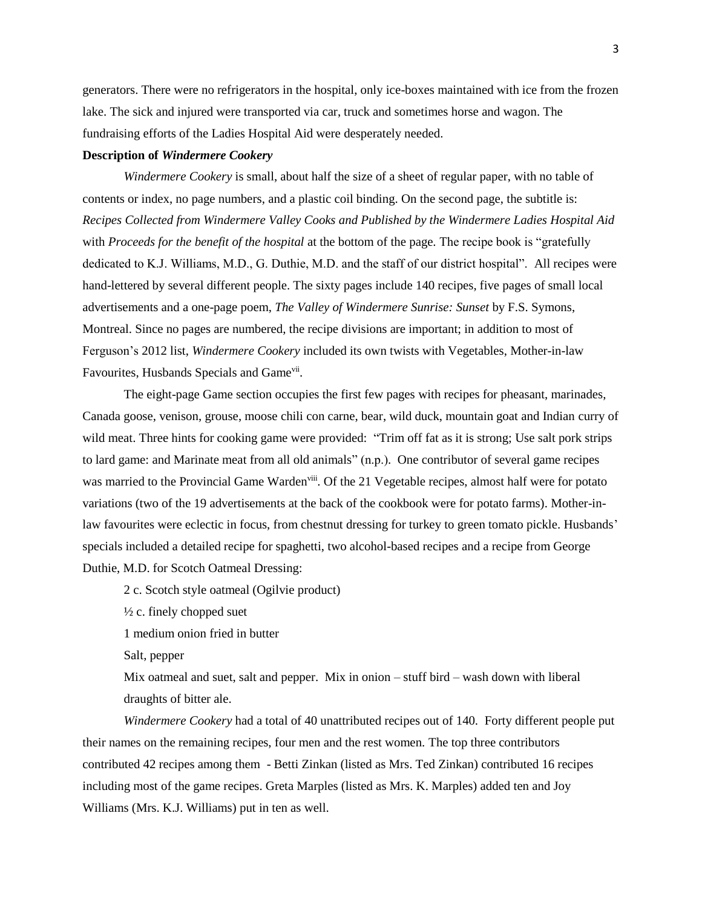generators. There were no refrigerators in the hospital, only ice-boxes maintained with ice from the frozen lake. The sick and injured were transported via car, truck and sometimes horse and wagon. The fundraising efforts of the Ladies Hospital Aid were desperately needed.

#### **Description of** *Windermere Cookery*

*Windermere Cookery* is small, about half the size of a sheet of regular paper, with no table of contents or index, no page numbers, and a plastic coil binding. On the second page, the subtitle is: *Recipes Collected from Windermere Valley Cooks and Published by the Windermere Ladies Hospital Aid* with *Proceeds for the benefit of the hospital* at the bottom of the page*.* The recipe book is "gratefully dedicated to K.J. Williams, M.D., G. Duthie, M.D. and the staff of our district hospital". All recipes were hand-lettered by several different people. The sixty pages include 140 recipes, five pages of small local advertisements and a one-page poem, *The Valley of Windermere Sunrise: Sunset* by F.S. Symons, Montreal. Since no pages are numbered, the recipe divisions are important; in addition to most of Ferguson's 2012 list, *Windermere Cookery* included its own twists with Vegetables, Mother-in-law Favourites, Husbands Specials and Game<sup>vii</sup>.

The eight-page Game section occupies the first few pages with recipes for pheasant, marinades, Canada goose, venison, grouse, moose chili con carne, bear, wild duck, mountain goat and Indian curry of wild meat. Three hints for cooking game were provided: "Trim off fat as it is strong; Use salt pork strips to lard game: and Marinate meat from all old animals" (n.p.). One contributor of several game recipes was married to the Provincial Game Warden<sup>viii</sup>. Of the 21 Vegetable recipes, almost half were for potato variations (two of the 19 advertisements at the back of the cookbook were for potato farms). Mother-inlaw favourites were eclectic in focus, from chestnut dressing for turkey to green tomato pickle. Husbands' specials included a detailed recipe for spaghetti, two alcohol-based recipes and a recipe from George Duthie, M.D. for Scotch Oatmeal Dressing:

2 c. Scotch style oatmeal (Ogilvie product)

 $\frac{1}{2}$  c. finely chopped suet

1 medium onion fried in butter

Salt, pepper

Mix oatmeal and suet, salt and pepper. Mix in onion – stuff bird – wash down with liberal draughts of bitter ale.

*Windermere Cookery* had a total of 40 unattributed recipes out of 140. Forty different people put their names on the remaining recipes, four men and the rest women. The top three contributors contributed 42 recipes among them - Betti Zinkan (listed as Mrs. Ted Zinkan) contributed 16 recipes including most of the game recipes. Greta Marples (listed as Mrs. K. Marples) added ten and Joy Williams (Mrs. K.J. Williams) put in ten as well.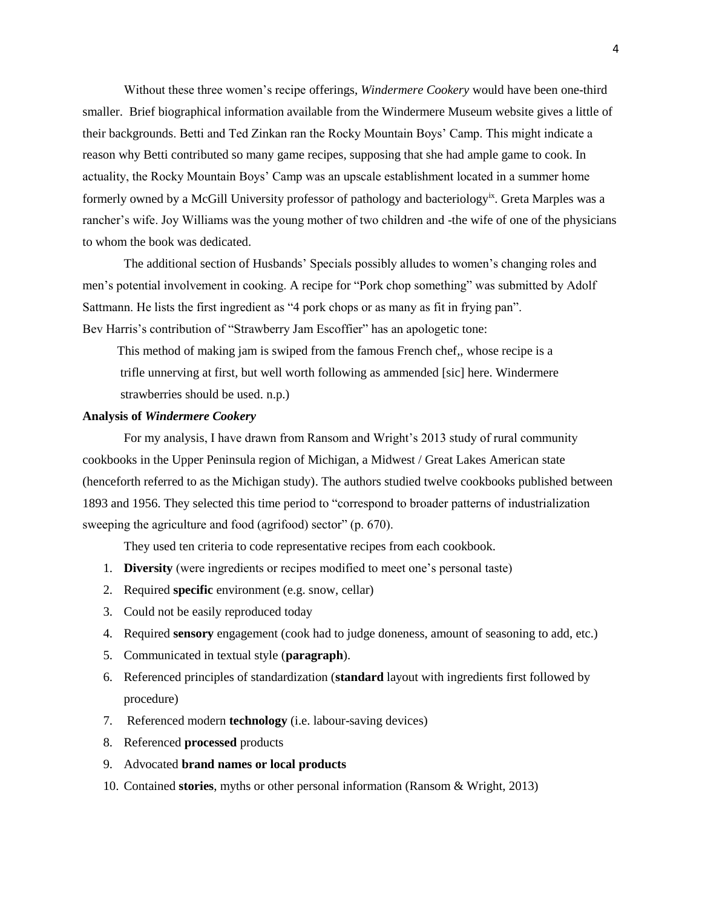Without these three women's recipe offerings, *Windermere Cookery* would have been one-third smaller. Brief biographical information available from the Windermere Museum website gives a little of their backgrounds. Betti and Ted Zinkan ran the Rocky Mountain Boys' Camp. This might indicate a reason why Betti contributed so many game recipes, supposing that she had ample game to cook. In actuality, the Rocky Mountain Boys' Camp was an upscale establishment located in a summer home formerly owned by a McGill University professor of pathology and bacteriology<sup>ix</sup>. Greta Marples was a rancher's wife. Joy Williams was the young mother of two children and -the wife of one of the physicians to whom the book was dedicated.

The additional section of Husbands' Specials possibly alludes to women's changing roles and men's potential involvement in cooking. A recipe for "Pork chop something" was submitted by Adolf Sattmann. He lists the first ingredient as "4 pork chops or as many as fit in frying pan". Bev Harris's contribution of "Strawberry Jam Escoffier" has an apologetic tone:

 This method of making jam is swiped from the famous French chef,, whose recipe is a trifle unnerving at first, but well worth following as ammended [sic] here. Windermere strawberries should be used. n.p.)

## **Analysis of** *Windermere Cookery*

For my analysis, I have drawn from Ransom and Wright's 2013 study of rural community cookbooks in the Upper Peninsula region of Michigan, a Midwest / Great Lakes American state (henceforth referred to as the Michigan study). The authors studied twelve cookbooks published between 1893 and 1956. They selected this time period to "correspond to broader patterns of industrialization sweeping the agriculture and food (agrifood) sector" (p. 670).

They used ten criteria to code representative recipes from each cookbook.

- 1. **Diversity** (were ingredients or recipes modified to meet one's personal taste)
- 2. Required **specific** environment (e.g. snow, cellar)
- 3. Could not be easily reproduced today
- 4. Required **sensory** engagement (cook had to judge doneness, amount of seasoning to add, etc.)
- 5. Communicated in textual style (**paragraph**).
- 6. Referenced principles of standardization (**standard** layout with ingredients first followed by procedure)
- 7. Referenced modern **technology** (i.e. labour-saving devices)
- 8. Referenced **processed** products
- 9. Advocated **brand names or local products**
- 10. Contained **stories**, myths or other personal information (Ransom & Wright, 2013)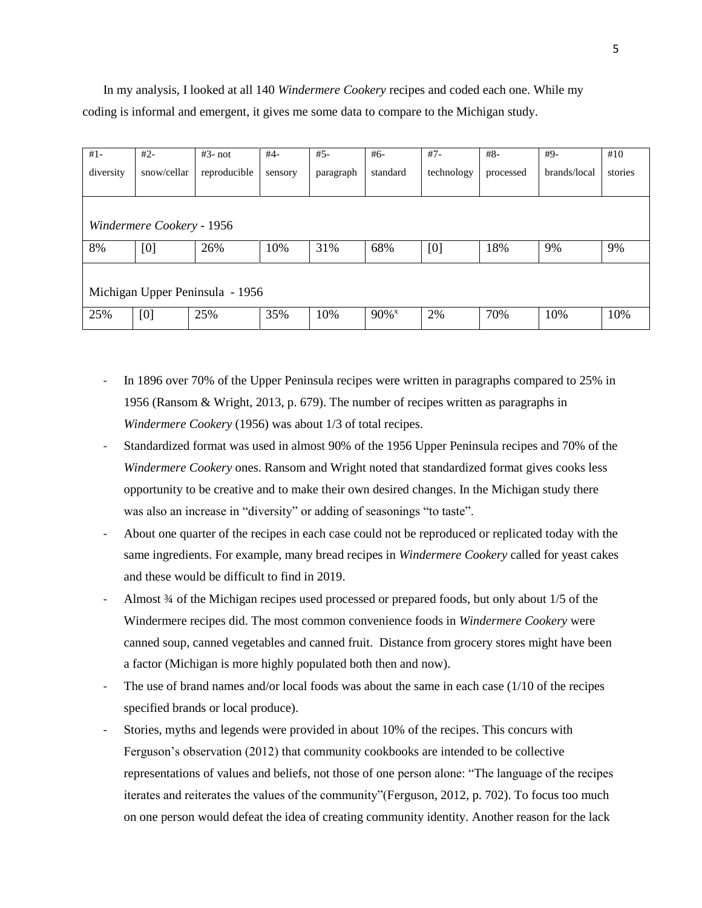In my analysis, I looked at all 140 *Windermere Cookery* recipes and coded each one. While my coding is informal and emergent, it gives me some data to compare to the Michigan study.

| $#1-$                           | $#2-$       | $#3$ - not   | $#4-$   | $#5-$     | $#6-$               | $#7-$      | $#8-$     | #9-          | #10     |
|---------------------------------|-------------|--------------|---------|-----------|---------------------|------------|-----------|--------------|---------|
| diversity                       | snow/cellar | reproducible | sensory | paragraph | standard            | technology | processed | brands/local | stories |
|                                 |             |              |         |           |                     |            |           |              |         |
|                                 |             |              |         |           |                     |            |           |              |         |
| Windermere Cookery - 1956       |             |              |         |           |                     |            |           |              |         |
| 8%                              | [0]         | 26%          | 10%     | 31%       | 68%                 | [0]        | 18%       | 9%           | 9%      |
|                                 |             |              |         |           |                     |            |           |              |         |
| Michigan Upper Peninsula - 1956 |             |              |         |           |                     |            |           |              |         |
| 25%                             | [0]         | 25%          | 35%     | 10%       | $90\%$ <sup>x</sup> | 2%         | 70%       | 10%          | 10%     |

- In 1896 over 70% of the Upper Peninsula recipes were written in paragraphs compared to 25% in 1956 (Ransom & Wright, 2013, p. 679). The number of recipes written as paragraphs in *Windermere Cookery* (1956) was about 1/3 of total recipes.
- Standardized format was used in almost 90% of the 1956 Upper Peninsula recipes and 70% of the *Windermere Cookery* ones. Ransom and Wright noted that standardized format gives cooks less opportunity to be creative and to make their own desired changes. In the Michigan study there was also an increase in "diversity" or adding of seasonings "to taste".
- About one quarter of the recipes in each case could not be reproduced or replicated today with the same ingredients. For example, many bread recipes in *Windermere Cookery* called for yeast cakes and these would be difficult to find in 2019.
- Almost  $\frac{3}{4}$  of the Michigan recipes used processed or prepared foods, but only about 1/5 of the Windermere recipes did. The most common convenience foods in *Windermere Cookery* were canned soup, canned vegetables and canned fruit. Distance from grocery stores might have been a factor (Michigan is more highly populated both then and now).
- The use of brand names and/or local foods was about the same in each case (1/10 of the recipes specified brands or local produce).
- Stories, myths and legends were provided in about 10% of the recipes. This concurs with Ferguson's observation (2012) that community cookbooks are intended to be collective representations of values and beliefs, not those of one person alone: "The language of the recipes iterates and reiterates the values of the community"(Ferguson, 2012, p. 702). To focus too much on one person would defeat the idea of creating community identity. Another reason for the lack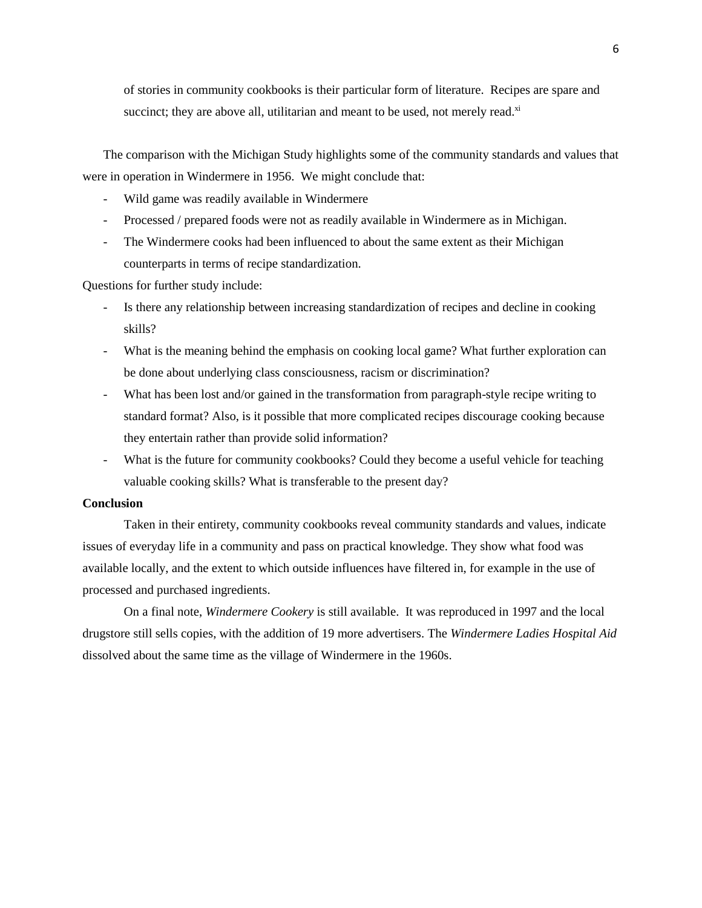of stories in community cookbooks is their particular form of literature. Recipes are spare and succinct; they are above all, utilitarian and meant to be used, not merely read. $x_i$ 

The comparison with the Michigan Study highlights some of the community standards and values that were in operation in Windermere in 1956. We might conclude that:

- Wild game was readily available in Windermere
- Processed / prepared foods were not as readily available in Windermere as in Michigan.
- The Windermere cooks had been influenced to about the same extent as their Michigan counterparts in terms of recipe standardization.

Questions for further study include:

- Is there any relationship between increasing standardization of recipes and decline in cooking skills?
- What is the meaning behind the emphasis on cooking local game? What further exploration can be done about underlying class consciousness, racism or discrimination?
- What has been lost and/or gained in the transformation from paragraph-style recipe writing to standard format? Also, is it possible that more complicated recipes discourage cooking because they entertain rather than provide solid information?
- What is the future for community cookbooks? Could they become a useful vehicle for teaching valuable cooking skills? What is transferable to the present day?

#### **Conclusion**

Taken in their entirety, community cookbooks reveal community standards and values, indicate issues of everyday life in a community and pass on practical knowledge. They show what food was available locally, and the extent to which outside influences have filtered in, for example in the use of processed and purchased ingredients.

On a final note, *Windermere Cookery* is still available. It was reproduced in 1997 and the local drugstore still sells copies, with the addition of 19 more advertisers. The *Windermere Ladies Hospital Aid* dissolved about the same time as the village of Windermere in the 1960s.